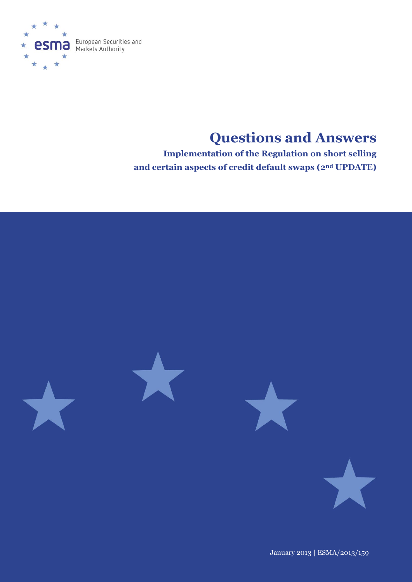

# **Questions and Answers**

**Implementation of the Regulation on short selling and certain aspects of credit default swaps (2nd UPDATE)**



January 2013 | ESMA/2013/159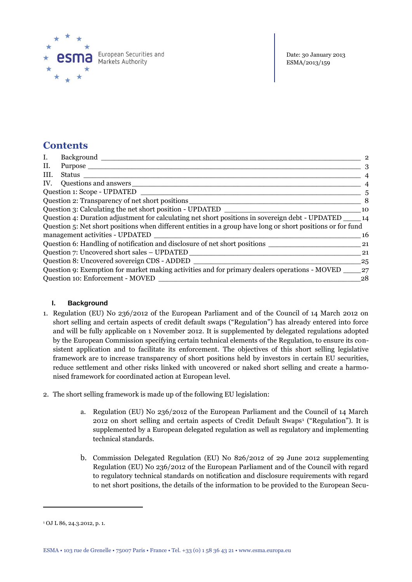

# **Contents**

| I.   | Background                                                                                                  | $\overline{2}$ |
|------|-------------------------------------------------------------------------------------------------------------|----------------|
| П.   | Purpose                                                                                                     | 3              |
| III. | Status                                                                                                      |                |
| IV.  | Questions and answers                                                                                       |                |
|      | Question 1: Scope - UPDATED                                                                                 | 5              |
|      | Question 2: Transparency of net short positions                                                             | 8              |
|      | Question 3: Calculating the net short position - UPDATED                                                    | 10             |
|      | Question 4: Duration adjustment for calculating net short positions in sovereign debt - UPDATED             | 14             |
|      | Question 5: Net short positions when different entities in a group have long or short positions or for fund |                |
|      | management activities - UPDATED                                                                             | 16             |
|      | Question 6: Handling of notification and disclosure of net short positions                                  | 21             |
|      | Question 7: Uncovered short sales – UPDATED                                                                 | 21             |
|      | Question 8: Uncovered sovereign CDS - ADDED                                                                 | 25             |
|      | Question 9: Exemption for market making activities and for primary dealers operations - MOVED               | 27             |
|      | Question 10: Enforcement - MOVED                                                                            | 28             |

## <span id="page-1-0"></span>**I. Background**

- 1. Regulation (EU) No 236/2012 of the European Parliament and of the Council of 14 March 2012 on short selling and certain aspects of credit default swaps ("Regulation") has already entered into force and will be fully applicable on 1 November 2012. It is supplemented by delegated regulations adopted by the European Commission specifying certain technical elements of the Regulation, to ensure its consistent application and to facilitate its enforcement. The objectives of this short selling legislative framework are to increase transparency of short positions held by investors in certain EU securities, reduce settlement and other risks linked with uncovered or naked short selling and create a harmonised framework for coordinated action at European level.
- 2. The short selling framework is made up of the following EU legislation:
	- a. Regulation (EU) No 236/2012 of the European Parliament and the Council of 14 March 2012 on short selling and certain aspects of Credit Default Swaps<sup>1</sup> ("Regulation"). It is supplemented by a European delegated regulation as well as regulatory and implementing technical standards.
	- b. Commission Delegated Regulation (EU) No 826/2012 of 29 June 2012 supplementing Regulation (EU) No 236/2012 of the European Parliament and of the Council with regard to regulatory technical standards on notification and disclosure requirements with regard to net short positions, the details of the information to be provided to the European Secu-

 $\overline{a}$ 

<sup>1</sup> OJ L 86, 24.3.2012, p. 1.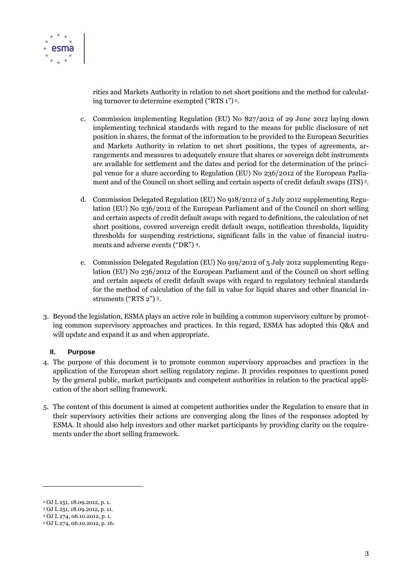

rities and Markets Authority in relation to net short positions and the method for calculating turnover to determine exempted ("RTS 1") <sup>2</sup>.

- c. Commission implementing Regulation (EU) No 827/2012 of 29 June 2012 laying down implementing technical standards with regard to the means for public disclosure of net position in shares, the format of the information to be provided to the European Securities and Markets Authority in relation to net short positions, the types of agreements, arrangements and measures to adequately ensure that shares or sovereign debt instruments are available for settlement and the dates and period for the determination of the principal venue for a share according to Regulation (EU) No 236/2012 of the European Parliament and of the Council on short selling and certain aspects of credit default swaps (ITS) <sup>3</sup>.
- d. Commission Delegated Regulation (EU) No 918/2012 of 5 July 2012 supplementing Regulation (EU) No 236/2012 of the European Parliament and of the Council on short selling and certain aspects of credit default swaps with regard to definitions, the calculation of net short positions, covered sovereign credit default swaps, notification thresholds, liquidity thresholds for suspending restrictions, significant falls in the value of financial instruments and adverse events ("DR") 4.
- e. Commission Delegated Regulation (EU) No 919/2012 of 5 July 2012 supplementing Regulation (EU) No 236/2012 of the European Parliament and of the Council on short selling and certain aspects of credit default swaps with regard to regulatory technical standards for the method of calculation of the fall in value for liquid shares and other financial instruments ("RTS 2") <sup>5</sup>.
- 3. Beyond the legislation, ESMA plays an active role in building a common supervisory culture by promoting common supervisory approaches and practices. In this regard, ESMA has adopted this Q&A and will update and expand it as and when appropriate.

#### <span id="page-2-0"></span>**II. Purpose**

- 4. The purpose of this document is to promote common supervisory approaches and practices in the application of the European short selling regulatory regime. It provides responses to questions posed by the general public, market participants and competent authorities in relation to the practical application of the short selling framework.
- 5. The content of this document is aimed at competent authorities under the Regulation to ensure that in their supervisory activities their actions are converging along the lines of the responses adopted by ESMA. It should also help investors and other market participants by providing clarity on the requirements under the short selling framework.

 $\overline{a}$ 

<sup>2</sup> OJ L 251, 18.09.2012, p. 1.

<sup>3</sup> OJ L 251, 18.09.2012, p. 11.

<sup>4</sup> OJ L 274, 06.10.2012, p. 1.

<sup>5</sup> OJ L 274, 06.10.2012, p. 16.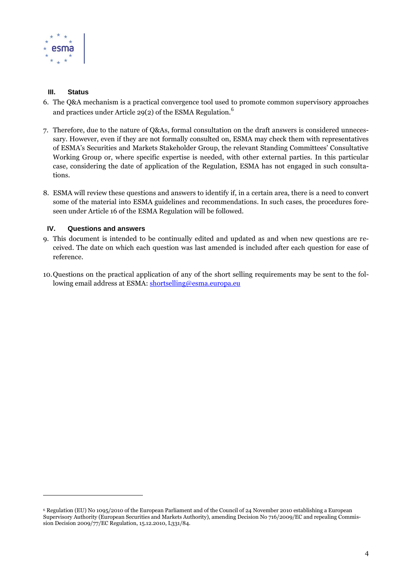

#### <span id="page-3-0"></span>**III. Status**

 $\overline{a}$ 

- 6. The Q&A mechanism is a practical convergence tool used to promote common supervisory approaches and practices under Article 29(2) of the ESMA Regulation.<sup>6</sup>
- 7. Therefore, due to the nature of Q&As, formal consultation on the draft answers is considered unnecessary. However, even if they are not formally consulted on, ESMA may check them with representatives of ESMA's Securities and Markets Stakeholder Group, the relevant Standing Committees' Consultative Working Group or, where specific expertise is needed, with other external parties. In this particular case, considering the date of application of the Regulation, ESMA has not engaged in such consultations.
- 8. ESMA will review these questions and answers to identify if, in a certain area, there is a need to convert some of the material into ESMA guidelines and recommendations. In such cases, the procedures foreseen under Article 16 of the ESMA Regulation will be followed.

#### <span id="page-3-1"></span>**IV. Questions and answers**

- 9. This document is intended to be continually edited and updated as and when new questions are received. The date on which each question was last amended is included after each question for ease of reference.
- 10.Questions on the practical application of any of the short selling requirements may be sent to the following email address at ESMA: [shortselling@esma.europa.eu](mailto:shortselling@esma.europa.eu)

<sup>6</sup> Regulation (EU) No 1095/2010 of the European Parliament and of the Council of 24 November 2010 establishing a European Supervisory Authority (European Securities and Markets Authority), amending Decision No 716/2009/EC and repealing Commission Decision 2009/77/EC Regulation, 15.12.2010, L331/84.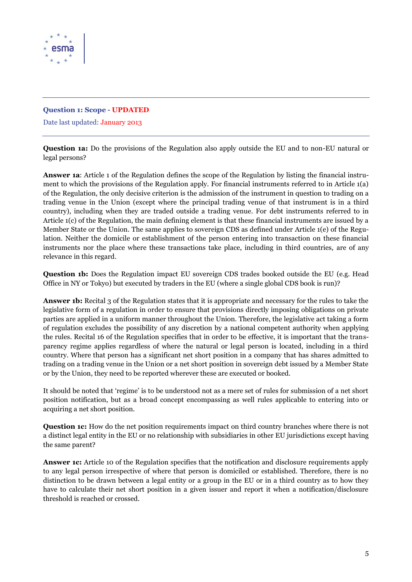

### <span id="page-4-0"></span>**Question 1: Scope - UPDATED**

Date last updated: January 2013

**Question 1a:** Do the provisions of the Regulation also apply outside the EU and to non-EU natural or legal persons?

**Answer 1a**: Article 1 of the Regulation defines the scope of the Regulation by listing the financial instrument to which the provisions of the Regulation apply. For financial instruments referred to in Article 1(a) of the Regulation, the only decisive criterion is the admission of the instrument in question to trading on a trading venue in the Union (except where the principal trading venue of that instrument is in a third country), including when they are traded outside a trading venue. For debt instruments referred to in Article 1(c) of the Regulation, the main defining element is that these financial instruments are issued by a Member State or the Union. The same applies to sovereign CDS as defined under Article 1(e) of the Regulation. Neither the domicile or establishment of the person entering into transaction on these financial instruments nor the place where these transactions take place, including in third countries, are of any relevance in this regard.

**Question 1b:** Does the Regulation impact EU sovereign CDS trades booked outside the EU (e.g. Head Office in NY or Tokyo) but executed by traders in the EU (where a single global CDS book is run)?

**Answer 1b:** Recital 3 of the Regulation states that it is appropriate and necessary for the rules to take the legislative form of a regulation in order to ensure that provisions directly imposing obligations on private parties are applied in a uniform manner throughout the Union. Therefore, the legislative act taking a form of regulation excludes the possibility of any discretion by a national competent authority when applying the rules. Recital 16 of the Regulation specifies that in order to be effective, it is important that the transparency regime applies regardless of where the natural or legal person is located, including in a third country. Where that person has a significant net short position in a company that has shares admitted to trading on a trading venue in the Union or a net short position in sovereign debt issued by a Member State or by the Union, they need to be reported wherever these are executed or booked.

It should be noted that 'regime' is to be understood not as a mere set of rules for submission of a net short position notification, but as a broad concept encompassing as well rules applicable to entering into or acquiring a net short position.

**Question 1c:** How do the net position requirements impact on third country branches where there is not a distinct legal entity in the EU or no relationship with subsidiaries in other EU jurisdictions except having the same parent?

**Answer 1c:** Article 10 of the Regulation specifies that the notification and disclosure requirements apply to any legal person irrespective of where that person is domiciled or established. Therefore, there is no distinction to be drawn between a legal entity or a group in the EU or in a third country as to how they have to calculate their net short position in a given issuer and report it when a notification/disclosure threshold is reached or crossed.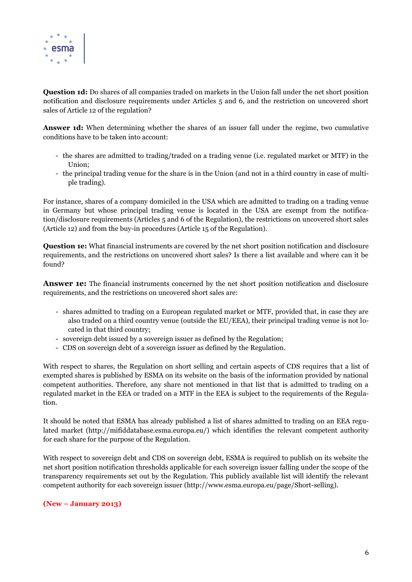

**Question 1d:** Do shares of all companies traded on markets in the Union fall under the net short position notification and disclosure requirements under Articles 5 and 6, and the restriction on uncovered short sales of Article 12 of the regulation?

**Answer 1d:** When determining whether the shares of an issuer fall under the regime, two cumulative conditions have to be taken into account:

- the shares are admitted to trading/traded on a trading venue (i.e. regulated market or MTF) in the Union;
- the principal trading venue for the share is in the Union (and not in a third country in case of multiple trading).

For instance, shares of a company domiciled in the USA which are admitted to trading on a trading venue in Germany but whose principal trading venue is located in the USA are exempt from the notification/disclosure requirements (Articles 5 and 6 of the Regulation), the restrictions on uncovered short sales (Article 12) and from the buy-in procedures (Article 15 of the Regulation).

**Question 1e:** What financial instruments are covered by the net short position notification and disclosure requirements, and the restrictions on uncovered short sales? Is there a list available and where can it be found?

**Answer 1e:** The financial instruments concerned by the net short position notification and disclosure requirements, and the restrictions on uncovered short sales are:

- shares admitted to trading on a European regulated market or MTF, provided that, in case they are also traded on a third country venue (outside the EU/EEA), their principal trading venue is not located in that third country;
- sovereign debt issued by a sovereign issuer as defined by the Regulation;
- CDS on sovereign debt of a sovereign issuer as defined by the Regulation.

With respect to shares, the Regulation on short selling and certain aspects of CDS requires that a list of exempted shares is published by ESMA on its website on the basis of the information provided by national competent authorities. Therefore, any share not mentioned in that list that is admitted to trading on a regulated market in the EEA or traded on a MTF in the EEA is subject to the requirements of the Regulation.

It should be noted that ESMA has already published a list of shares admitted to trading on an EEA regulated market [\(http://mifiddatabase.esma.europa.eu/\)](http://mifiddatabase.esma.europa.eu/) which identifies the relevant competent authority for each share for the purpose of the Regulation.

With respect to sovereign debt and CDS on sovereign debt. ESMA is required to publish on its website the net short position notification thresholds applicable for each sovereign issuer falling under the scope of the transparency requirements set out by the Regulation. This publicly available list will identify the relevant competent authority for each sovereign issuer (http://www.esma.europa.eu/page/Short-selling).

#### **(New – January 2013)**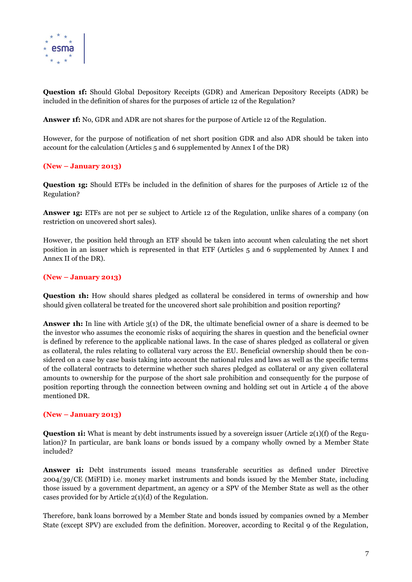

**Question 1f:** Should Global Depository Receipts (GDR) and American Depository Receipts (ADR) be included in the definition of shares for the purposes of article 12 of the Regulation?

**Answer 1f:** No, GDR and ADR are not shares for the purpose of Article 12 of the Regulation.

However, for the purpose of notification of net short position GDR and also ADR should be taken into account for the calculation (Articles 5 and 6 supplemented by Annex I of the DR)

#### **(New – January 2013)**

**Question 1g:** Should ETFs be included in the definition of shares for the purposes of Article 12 of the Regulation?

**Answer 1g:** ETFs are not per se subject to Article 12 of the Regulation, unlike shares of a company (on restriction on uncovered short sales).

However, the position held through an ETF should be taken into account when calculating the net short position in an issuer which is represented in that ETF (Articles 5 and 6 supplemented by Annex I and Annex II of the DR).

#### **(New – January 2013)**

**Question 1h:** How should shares pledged as collateral be considered in terms of ownership and how should given collateral be treated for the uncovered short sale prohibition and position reporting?

**Answer 1h:** In line with Article 3(1) of the DR, the ultimate beneficial owner of a share is deemed to be the investor who assumes the economic risks of acquiring the shares in question and the beneficial owner is defined by reference to the applicable national laws. In the case of shares pledged as collateral or given as collateral, the rules relating to collateral vary across the EU. Beneficial ownership should then be considered on a case by case basis taking into account the national rules and laws as well as the specific terms of the collateral contracts to determine whether such shares pledged as collateral or any given collateral amounts to ownership for the purpose of the short sale prohibition and consequently for the purpose of position reporting through the connection between owning and holding set out in Article 4 of the above mentioned DR.

#### **(New – January 2013)**

**Question 1i:** What is meant by debt instruments issued by a sovereign issuer (Article 2(1)(f) of the Regulation)? In particular, are bank loans or bonds issued by a company wholly owned by a Member State included?

**Answer 1i:** Debt instruments issued means transferable securities as defined under Directive 2004/39/CE (MiFID) i.e. money market instruments and bonds issued by the Member State, including those issued by a government department, an agency or a SPV of the Member State as well as the other cases provided for by Article 2(1)(d) of the Regulation.

Therefore, bank loans borrowed by a Member State and bonds issued by companies owned by a Member State (except SPV) are excluded from the definition. Moreover, according to Recital 9 of the Regulation,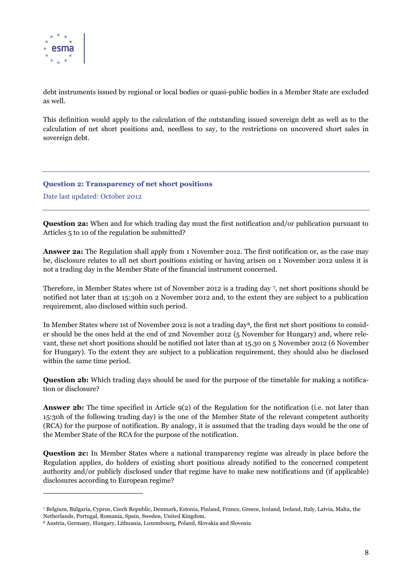

 $\overline{a}$ 

debt instruments issued by regional or local bodies or quasi-public bodies in a Member State are excluded as well.

This definition would apply to the calculation of the outstanding issued sovereign debt as well as to the calculation of net short positions and, needless to say, to the restrictions on uncovered short sales in sovereign debt.

<span id="page-7-0"></span>**Question 2: Transparency of net short positions**

Date last updated: October 2012

**Question 2a:** When and for which trading day must the first notification and/or publication pursuant to Articles 5 to 10 of the regulation be submitted?

**Answer 2a:** The Regulation shall apply from 1 November 2012. The first notification or, as the case may be, disclosure relates to all net short positions existing or having arisen on 1 November 2012 unless it is not a trading day in the Member State of the financial instrument concerned.

Therefore, in Member States where 1st of November 2012 is a trading day <sup>7</sup> , net short positions should be notified not later than at 15:30h on 2 November 2012 and, to the extent they are subject to a publication requirement, also disclosed within such period.

In Member States where 1st of November 2012 is not a trading day8, the first net short positions to consider should be the ones held at the end of 2nd November 2012 (5 November for Hungary) and, where relevant, these net short positions should be notified not later than at 15.30 on 5 November 2012 (6 November for Hungary). To the extent they are subject to a publication requirement, they should also be disclosed within the same time period.

**Question 2b:** Which trading days should be used for the purpose of the timetable for making a notification or disclosure?

**Answer 2b:** The time specified in Article  $9(2)$  of the Regulation for the notification (i.e. not later than 15:30h of the following trading day) is the one of the Member State of the relevant competent authority (RCA) for the purpose of notification. By analogy, it is assumed that the trading days would be the one of the Member State of the RCA for the purpose of the notification.

**Question 2c:** In Member States where a national transparency regime was already in place before the Regulation applies, do holders of existing short positions already notified to the concerned competent authority and/or publicly disclosed under that regime have to make new notifications and (if applicable) disclosures according to European regime?

<sup>7</sup> Belgium, Bulgaria, Cyprus, Czech Republic, Denmark, Estonia, Finland, France, Greece, Iceland, Ireland, Italy, Latvia, Malta, the Netherlands, Portugal, Romania, Spain, Sweden, United Kingdom.

<sup>8</sup> Austria, Germany, Hungary, Lithuania, Luxembourg, Poland, Slovakia and Slovenia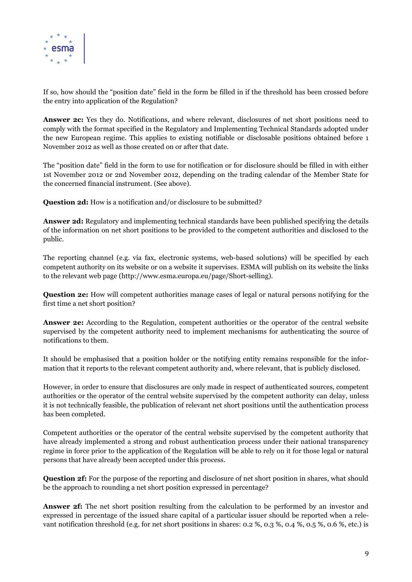

If so, how should the "position date" field in the form be filled in if the threshold has been crossed before the entry into application of the Regulation?

**Answer 2c:** Yes they do. Notifications, and where relevant, disclosures of net short positions need to comply with the format specified in the Regulatory and Implementing Technical Standards adopted under the new European regime. This applies to existing notifiable or disclosable positions obtained before 1 November 2012 as well as those created on or after that date.

The "position date" field in the form to use for notification or for disclosure should be filled in with either 1st November 2012 0r 2nd November 2012, depending on the trading calendar of the Member State for the concerned financial instrument. (See above).

**Question 2d:** How is a notification and/or disclosure to be submitted?

**Answer 2d:** Regulatory and implementing technical standards have been published specifying the details of the information on net short positions to be provided to the competent authorities and disclosed to the public.

The reporting channel (e.g. via fax, electronic systems, web-based solutions) will be specified by each competent authority on its website or on a website it supervises. ESMA will publish on its website the links to the relevant web page (http://www.esma.europa.eu/page/Short-selling).

**Question 2e:** How will competent authorities manage cases of legal or natural persons notifying for the first time a net short position?

**Answer 2e:** According to the Regulation, competent authorities or the operator of the central website supervised by the competent authority need to implement mechanisms for authenticating the source of notifications to them.

It should be emphasised that a position holder or the notifying entity remains responsible for the information that it reports to the relevant competent authority and, where relevant, that is publicly disclosed.

However, in order to ensure that disclosures are only made in respect of authenticated sources, competent authorities or the operator of the central website supervised by the competent authority can delay, unless it is not technically feasible, the publication of relevant net short positions until the authentication process has been completed.

Competent authorities or the operator of the central website supervised by the competent authority that have already implemented a strong and robust authentication process under their national transparency regime in force prior to the application of the Regulation will be able to rely on it for those legal or natural persons that have already been accepted under this process.

**Question 2f:** For the purpose of the reporting and disclosure of net short position in shares, what should be the approach to rounding a net short position expressed in percentage?

**Answer 2f:** The net short position resulting from the calculation to be performed by an investor and expressed in percentage of the issued share capital of a particular issuer should be reported when a relevant notification threshold (e.g. for net short positions in shares: 0.2 %, 0.3 %, 0.4 %, 0.5 %, 0.6 %, etc.) is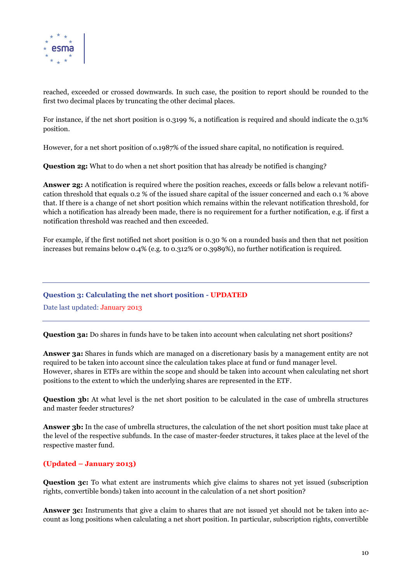

reached, exceeded or crossed downwards. In such case, the position to report should be rounded to the first two decimal places by truncating the other decimal places.

For instance, if the net short position is 0.3199 %, a notification is required and should indicate the 0.31% position.

However, for a net short position of o.1987% of the issued share capital, no notification is required.

**Question 2g:** What to do when a net short position that has already be notified is changing?

**Answer 2g:** A notification is required where the position reaches, exceeds or falls below a relevant notification threshold that equals 0.2 % of the issued share capital of the issuer concerned and each 0.1 % above that. If there is a change of net short position which remains within the relevant notification threshold, for which a notification has already been made, there is no requirement for a further notification, e.g. if first a notification threshold was reached and then exceeded.

For example, if the first notified net short position is 0.30 % on a rounded basis and then that net position increases but remains below 0.4% (e.g. to 0.312% or 0.3989%), no further notification is required.

#### <span id="page-9-0"></span>**Question 3: Calculating the net short position - UPDATED**

Date last updated: January 2013

**Question 3a:** Do shares in funds have to be taken into account when calculating net short positions?

**Answer 3a:** Shares in funds which are managed on a discretionary basis by a management entity are not required to be taken into account since the calculation takes place at fund or fund manager level. However, shares in ETFs are within the scope and should be taken into account when calculating net short positions to the extent to which the underlying shares are represented in the ETF.

**Question 3b:** At what level is the net short position to be calculated in the case of umbrella structures and master feeder structures?

**Answer 3b:** In the case of umbrella structures, the calculation of the net short position must take place at the level of the respective subfunds. In the case of master-feeder structures, it takes place at the level of the respective master fund.

#### **(Updated – January 2013)**

**Question 3c:** To what extent are instruments which give claims to shares not yet issued (subscription rights, convertible bonds) taken into account in the calculation of a net short position?

**Answer 3c:** Instruments that give a claim to shares that are not issued yet should not be taken into account as long positions when calculating a net short position. In particular, subscription rights, convertible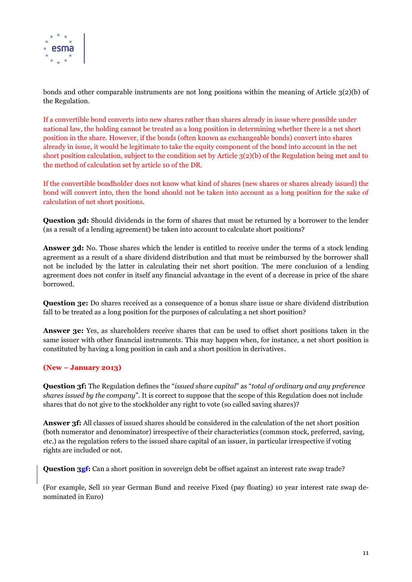

bonds and other comparable instruments are not long positions within the meaning of Article 3(2)(b) of the Regulation.

If a convertible bond converts into new shares rather than shares already in issue where possible under national law, the holding cannot be treated as a long position in determining whether there is a net short position in the share. However, if the bonds (often known as exchangeable bonds) convert into shares already in issue, it would be legitimate to take the equity component of the bond into account in the net short position calculation, subject to the condition set by Article 3(2)(b) of the Regulation being met and to the method of calculation set by article 10 of the DR.

If the convertible bondholder does not know what kind of shares (new shares or shares already issued) the bond will convert into, then the bond should not be taken into account as a long position for the sake of calculation of net short positions.

**Question 3d:** Should dividends in the form of shares that must be returned by a borrower to the lender (as a result of a lending agreement) be taken into account to calculate short positions?

**Answer 3d:** No. Those shares which the lender is entitled to receive under the terms of a stock lending agreement as a result of a share dividend distribution and that must be reimbursed by the borrower shall not be included by the latter in calculating their net short position. The mere conclusion of a lending agreement does not confer in itself any financial advantage in the event of a decrease in price of the share borrowed.

**Question 3e:** Do shares received as a consequence of a bonus share issue or share dividend distribution fall to be treated as a long position for the purposes of calculating a net short position?

**Answer 3e:** Yes, as shareholders receive shares that can be used to offset short positions taken in the same issuer with other financial instruments. This may happen when, for instance, a net short position is constituted by having a long position in cash and a short position in derivatives.

#### **(New – January 2013)**

**Question 3f:** The Regulation defines the "*issued share capital*" as "*total of ordinary and any preference shares issued by the company*". It is correct to suppose that the scope of this Regulation does not include shares that do not give to the stockholder any right to vote (so called saving shares)?

**Answer 3f:** All classes of issued shares should be considered in the calculation of the net short position (both numerator and denominator) irrespective of their characteristics (common stock, preferred, saving, etc.) as the regulation refers to the issued share capital of an issuer, in particular irrespective if voting rights are included or not.

**Question 3gf:** Can a short position in sovereign debt be offset against an interest rate swap trade?

(For example, Sell 10 year German Bund and receive Fixed (pay floating) 10 year interest rate swap denominated in Euro)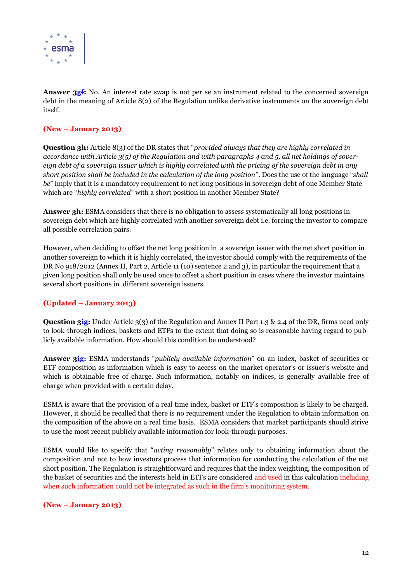

**Answer 3gf:** No. An interest rate swap is not per se an instrument related to the concerned sovereign debt in the meaning of Article 8(2) of the Regulation unlike derivative instruments on the sovereign debt itself.

### **(New – January 2013)**

**Question 3h:** Article 8(3) of the DR states that "*provided always that they are highly correlated in accordance with Article 3(5) of the Regulation and with paragraphs 4 and 5, all net holdings of sovereign debt of a sovereign issuer which is highly correlated with the pricing of the sovereign debt in any short position shall be included in the calculation of the long position*". Does the use of the language "*shall be*" imply that it is a mandatory requirement to net long positions in sovereign debt of one Member State which are "*highly correlated*" with a short position in another Member State?

**Answer 3h:** ESMA considers that there is no obligation to assess systematically all long positions in sovereign debt which are highly correlated with another sovereign debt i.e. forcing the investor to compare all possible correlation pairs.

However, when deciding to offset the net long position in a sovereign issuer with the net short position in another sovereign to which it is highly correlated, the investor should comply with the requirements of the DR No 918/2012 (Annex II, Part 2, Article 11 (10) sentence 2 and 3), in particular the requirement that a given long position shall only be used once to offset a short position in cases where the investor maintains several short positions in different sovereign issuers.

#### **(Updated – January 2013)**

**Question 3ig:** Under Article 3(3) of the Regulation and Annex II Part 1.3 & 2.4 of the DR, firms need only to look-through indices, baskets and ETFs to the extent that doing so is reasonable having regard to publicly available information. How should this condition be understood?

**Answer 3ig:** ESMA understands "*publicly available information*" on an index, basket of securities or ETF composition as information which is easy to access on the market operator's or issuer's website and which is obtainable free of charge. Such information, notably on indices, is generally available free of charge when provided with a certain delay.

ESMA is aware that the provision of a real time index, basket or ETF's composition is likely to be charged. However, it should be recalled that there is no requirement under the Regulation to obtain information on the composition of the above on a real time basis. ESMA considers that market participants should strive to use the most recent publicly available information for look-through purposes.

ESMA would like to specify that "*acting reasonably*" relates only to obtaining information about the composition and not to how investors process that information for conducting the calculation of the net short position. The Regulation is straightforward and requires that the index weighting, the composition of the basket of securities and the interests held in ETFs are considered and used in this calculation including when such information could not be integrated as such in the firm's monitoring system.

#### **(New – January 2013)**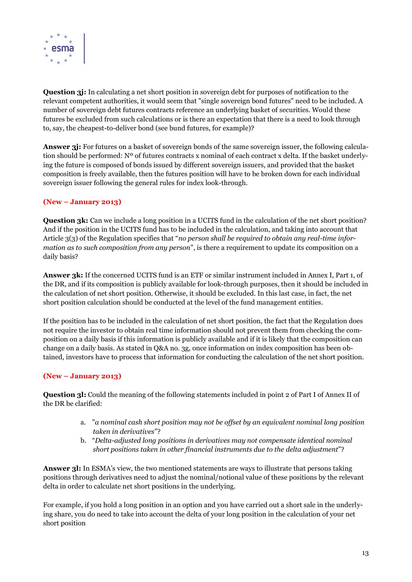

**Question 3j:** In calculating a net short position in sovereign debt for purposes of notification to the relevant competent authorities, it would seem that "single sovereign bond futures" need to be included. A number of sovereign debt futures contracts reference an underlying basket of securities. Would these futures be excluded from such calculations or is there an expectation that there is a need to look through to, say, the cheapest-to-deliver bond (see bund futures, for example)?

**Answer 3j:** For futures on a basket of sovereign bonds of the same sovereign issuer, the following calculation should be performed: Nº of futures contracts x nominal of each contract x delta. If the basket underlying the future is composed of bonds issued by different sovereign issuers, and provided that the basket composition is freely available, then the futures position will have to be broken down for each individual sovereign issuer following the general rules for index look-through.

#### **(New – January 2013)**

**Question 3k:** Can we include a long position in a UCITS fund in the calculation of the net short position? And if the position in the UCITS fund has to be included in the calculation, and taking into account that Article 3(3) of the Regulation specifies that "*no person shall be required to obtain any real-time information as to such composition from any person*", is there a requirement to update its composition on a daily basis?

**Answer 3k:** If the concerned UCITS fund is an ETF or similar instrument included in Annex I, Part 1, of the DR, and if its composition is publicly available for look-through purposes, then it should be included in the calculation of net short position. Otherwise, it should be excluded. In this last case, in fact, the net short position calculation should be conducted at the level of the fund management entities.

If the position has to be included in the calculation of net short position, the fact that the Regulation does not require the investor to obtain real time information should not prevent them from checking the composition on a daily basis if this information is publicly available and if it is likely that the composition can change on a daily basis. As stated in Q&A no. 3g, once information on index composition has been obtained, investors have to process that information for conducting the calculation of the net short position.

#### **(New – January 2013)**

**Question 3l:** Could the meaning of the following statements included in point 2 of Part I of Annex II of the DR be clarified:

- a. "*a nominal cash short position may not be offset by an equivalent nominal long position taken in derivatives*"?
- b. "*Delta-adjusted long positions in derivatives may not compensate identical nominal short positions taken in other financial instruments due to the delta adjustment*"?

**Answer 3l:** In ESMA's view, the two mentioned statements are ways to illustrate that persons taking positions through derivatives need to adjust the nominal/notional value of these positions by the relevant delta in order to calculate net short positions in the underlying.

For example, if you hold a long position in an option and you have carried out a short sale in the underlying share, you do need to take into account the delta of your long position in the calculation of your net short position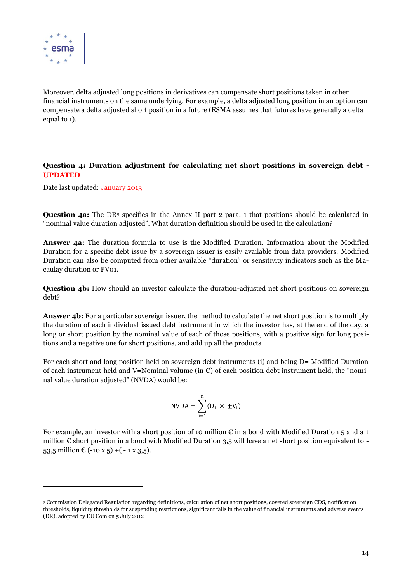

 $\overline{a}$ 

Moreover, delta adjusted long positions in derivatives can compensate short positions taken in other financial instruments on the same underlying. For example, a delta adjusted long position in an option can compensate a delta adjusted short position in a future (ESMA assumes that futures have generally a delta equal to 1).

#### <span id="page-13-0"></span>**Question 4: Duration adjustment for calculating net short positions in sovereign debt - UPDATED**

Date last updated: January 2013

**Question 4a:** The DR<sup>9</sup> specifies in the Annex II part 2 para. 1 that positions should be calculated in "nominal value duration adjusted". What duration definition should be used in the calculation?

**Answer 4a:** The duration formula to use is the Modified Duration. Information about the Modified Duration for a specific debt issue by a sovereign issuer is easily available from data providers. Modified Duration can also be computed from other available "duration" or sensitivity indicators such as the Macaulay duration or PV01.

**Question 4b:** How should an investor calculate the duration-adjusted net short positions on sovereign debt?

**Answer 4b:** For a particular sovereign issuer, the method to calculate the net short position is to multiply the duration of each individual issued debt instrument in which the investor has, at the end of the day, a long or short position by the nominal value of each of those positions, with a positive sign for long positions and a negative one for short positions, and add up all the products.

For each short and long position held on sovereign debt instruments (i) and being D= Modified Duration of each instrument held and V=Nominal volume (in  $\epsilon$ ) of each position debt instrument held, the "nominal value duration adjusted" (NVDA) would be:

$$
N VDA = \sum_{i=1}^{n} (D_i \times \pm V_i)
$$

For example, an investor with a short position of 10 million  $\epsilon$  in a bond with Modified Duration 5 and a 1 million  $\epsilon$  short position in a bond with Modified Duration 3,5 will have a net short position equivalent to -53,5 million  $\mathbb{C}$  (-10 x 5) + (-1 x 3,5).

<sup>9</sup> Commission Delegated Regulation regarding definitions, calculation of net short positions, covered sovereign CDS, notification thresholds, liquidity thresholds for suspending restrictions, significant falls in the value of financial instruments and adverse events (DR), adopted by EU Com on 5 July 2012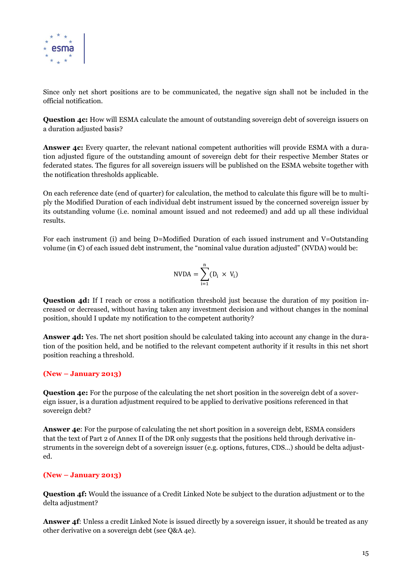

Since only net short positions are to be communicated, the negative sign shall not be included in the official notification.

**Question 4c:** How will ESMA calculate the amount of outstanding sovereign debt of sovereign issuers on a duration adjusted basis?

**Answer 4c:** Every quarter, the relevant national competent authorities will provide ESMA with a duration adjusted figure of the outstanding amount of sovereign debt for their respective Member States or federated states. The figures for all sovereign issuers will be published on the ESMA website together with the notification thresholds applicable.

On each reference date (end of quarter) for calculation, the method to calculate this figure will be to multiply the Modified Duration of each individual debt instrument issued by the concerned sovereign issuer by its outstanding volume (i.e. nominal amount issued and not redeemed) and add up all these individual results.

For each instrument (i) and being D=Modified Duration of each issued instrument and V=Outstanding volume (in  $\epsilon$ ) of each issued debt instrument, the "nominal value duration adjusted" (NVDA) would be:

$$
N VDA = \sum_{i=1}^{n} (D_i \times V_i)
$$

**Question 4d:** If I reach or cross a notification threshold just because the duration of my position increased or decreased, without having taken any investment decision and without changes in the nominal position, should I update my notification to the competent authority?

**Answer 4d:** Yes. The net short position should be calculated taking into account any change in the duration of the position held, and be notified to the relevant competent authority if it results in this net short position reaching a threshold.

#### **(New – January 2013)**

**Question 4e:** For the purpose of the calculating the net short position in the sovereign debt of a sovereign issuer, is a duration adjustment required to be applied to derivative positions referenced in that sovereign debt?

**Answer 4e**: For the purpose of calculating the net short position in a sovereign debt, ESMA considers that the text of Part 2 of Annex II of the DR only suggests that the positions held through derivative instruments in the sovereign debt of a sovereign issuer (e.g. options, futures, CDS…) should be delta adjusted.

#### **(New – January 2013)**

**Question 4f:** Would the issuance of a Credit Linked Note be subject to the duration adjustment or to the delta adjustment?

**Answer 4f**: Unless a credit Linked Note is issued directly by a sovereign issuer, it should be treated as any other derivative on a sovereign debt (see Q&A 4e).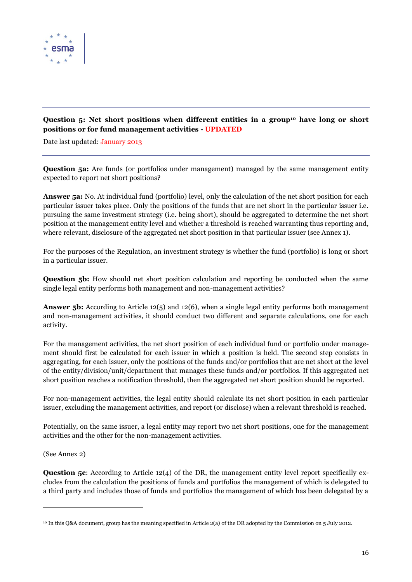

## <span id="page-15-0"></span>**Question 5: Net short positions when different entities in a group<sup>10</sup> have long or short positions or for fund management activities - UPDATED**

Date last updated: January 2013

**Question 5a:** Are funds (or portfolios under management) managed by the same management entity expected to report net short positions?

**Answer 5a:** No. At individual fund (portfolio) level, only the calculation of the net short position for each particular issuer takes place. Only the positions of the funds that are net short in the particular issuer i.e. pursuing the same investment strategy (i.e. being short), should be aggregated to determine the net short position at the management entity level and whether a threshold is reached warranting thus reporting and, where relevant, disclosure of the aggregated net short position in that particular issuer (see Annex 1).

For the purposes of the Regulation, an investment strategy is whether the fund (portfolio) is long or short in a particular issuer.

**Question 5b:** How should net short position calculation and reporting be conducted when the same single legal entity performs both management and non-management activities?

**Answer 5b:** According to Article 12(5) and 12(6), when a single legal entity performs both management and non-management activities, it should conduct two different and separate calculations, one for each activity.

For the management activities, the net short position of each individual fund or portfolio under management should first be calculated for each issuer in which a position is held. The second step consists in aggregating, for each issuer, only the positions of the funds and/or portfolios that are net short at the level of the entity/division/unit/department that manages these funds and/or portfolios. If this aggregated net short position reaches a notification threshold, then the aggregated net short position should be reported.

For non-management activities, the legal entity should calculate its net short position in each particular issuer, excluding the management activities, and report (or disclose) when a relevant threshold is reached.

Potentially, on the same issuer, a legal entity may report two net short positions, one for the management activities and the other for the non-management activities.

(See Annex 2)

 $\overline{a}$ 

**Question 5c**: According to Article 12(4) of the DR, the management entity level report specifically excludes from the calculation the positions of funds and portfolios the management of which is delegated to a third party and includes those of funds and portfolios the management of which has been delegated by a

<sup>10</sup> In this Q&A document, group has the meaning specified in Article 2(a) of the DR adopted by the Commission on 5 July 2012.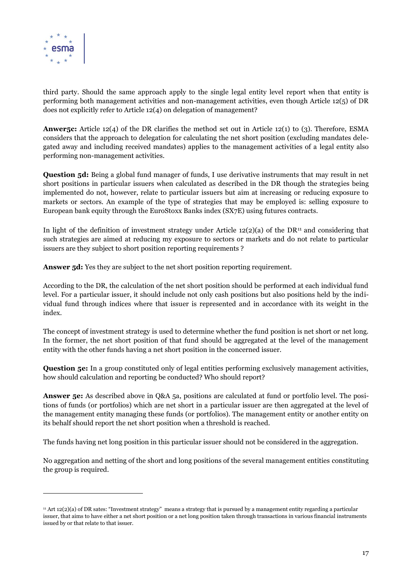

 $\overline{a}$ 

third party. Should the same approach apply to the single legal entity level report when that entity is performing both management activities and non-management activities, even though Article 12(5) of DR does not explicitly refer to Article 12(4) on delegation of management?

**Anwer5c:** Article 12(4) of the DR clarifies the method set out in Article 12(1) to (3). Therefore, ESMA considers that the approach to delegation for calculating the net short position (excluding mandates delegated away and including received mandates) applies to the management activities of a legal entity also performing non-management activities.

**Question 5d:** Being a global fund manager of funds, I use derivative instruments that may result in net short positions in particular issuers when calculated as described in the DR though the strategies being implemented do not, however, relate to particular issuers but aim at increasing or reducing exposure to markets or sectors. An example of the type of strategies that may be employed is: selling exposure to European bank equity through the EuroStoxx Banks index (SX7E) using futures contracts.

In light of the definition of investment strategy under Article 12(2)(a) of the DR<sup>11</sup> and considering that such strategies are aimed at reducing my exposure to sectors or markets and do not relate to particular issuers are they subject to short position reporting requirements ?

**Answer 5d:** Yes they are subject to the net short position reporting requirement.

According to the DR, the calculation of the net short position should be performed at each individual fund level. For a particular issuer, it should include not only cash positions but also positions held by the individual fund through indices where that issuer is represented and in accordance with its weight in the index.

The concept of investment strategy is used to determine whether the fund position is net short or net long. In the former, the net short position of that fund should be aggregated at the level of the management entity with the other funds having a net short position in the concerned issuer.

**Question 5e:** In a group constituted only of legal entities performing exclusively management activities, how should calculation and reporting be conducted? Who should report?

**Answer 5e:** As described above in Q&A 5a, positions are calculated at fund or portfolio level. The positions of funds (or portfolios) which are net short in a particular issuer are then aggregated at the level of the management entity managing these funds (or portfolios). The management entity or another entity on its behalf should report the net short position when a threshold is reached.

The funds having net long position in this particular issuer should not be considered in the aggregation.

No aggregation and netting of the short and long positions of the several management entities constituting the group is required.

<sup>11</sup> Art 12(2)(a) of DR sates: "Investment strategy" means a strategy that is pursued by a management entity regarding a particular issuer, that aims to have either a net short position or a net long position taken through transactions in various financial instruments issued by or that relate to that issuer.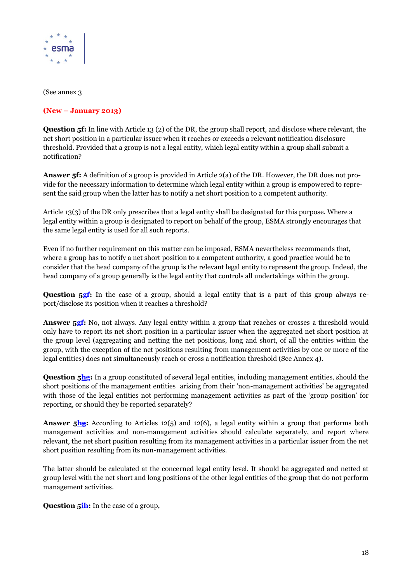

(See annex 3

#### **(New – January 2013)**

**Question 5f:** In line with Article 13 (2) of the DR, the group shall report, and disclose where relevant, the net short position in a particular issuer when it reaches or exceeds a relevant notification disclosure threshold. Provided that a group is not a legal entity, which legal entity within a group shall submit a notification?

**Answer 5f:** A definition of a group is provided in Article 2(a) of the DR. However, the DR does not provide for the necessary information to determine which legal entity within a group is empowered to represent the said group when the latter has to notify a net short position to a competent authority.

Article 13(3) of the DR only prescribes that a legal entity shall be designated for this purpose. Where a legal entity within a group is designated to report on behalf of the group, ESMA strongly encourages that the same legal entity is used for all such reports.

Even if no further requirement on this matter can be imposed, ESMA nevertheless recommends that, where a group has to notify a net short position to a competent authority, a good practice would be to consider that the head company of the group is the relevant legal entity to represent the group. Indeed, the head company of a group generally is the legal entity that controls all undertakings within the group.

**Question 5gf:** In the case of a group, should a legal entity that is a part of this group always report/disclose its position when it reaches a threshold?

**Answer 5gf:** No, not always. Any legal entity within a group that reaches or crosses a threshold would only have to report its net short position in a particular issuer when the aggregated net short position at the group level (aggregating and netting the net positions, long and short, of all the entities within the group, with the exception of the net positions resulting from management activities by one or more of the legal entities) does not simultaneously reach or cross a notification threshold (See Annex 4).

**Question 5hg:** In a group constituted of several legal entities, including management entities, should the short positions of the management entities arising from their 'non-management activities' be aggregated with those of the legal entities not performing management activities as part of the 'group position' for reporting, or should they be reported separately?

**Answer 5hg:** According to Articles 12(5) and 12(6), a legal entity within a group that performs both management activities and non-management activities should calculate separately, and report where relevant, the net short position resulting from its management activities in a particular issuer from the net short position resulting from its non-management activities.

The latter should be calculated at the concerned legal entity level. It should be aggregated and netted at group level with the net short and long positions of the other legal entities of the group that do not perform management activities.

**Question 5ih:** In the case of a group,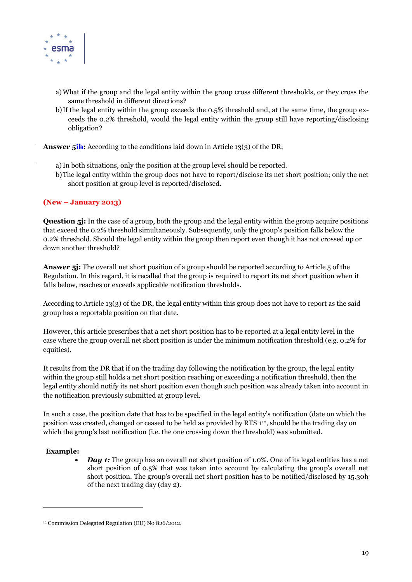

- a)What if the group and the legal entity within the group cross different thresholds, or they cross the same threshold in different directions?
- b)If the legal entity within the group exceeds the 0.5% threshold and, at the same time, the group exceeds the 0.2% threshold, would the legal entity within the group still have reporting/disclosing obligation?

Answer 5<sup>ih:</sup> According to the conditions laid down in Article 13(3) of the DR,

- a)In both situations, only the position at the group level should be reported.
- b)The legal entity within the group does not have to report/disclose its net short position; only the net short position at group level is reported/disclosed.

#### **(New – January 2013)**

**Question 5**: In the case of a group, both the group and the legal entity within the group acquire positions that exceed the 0.2% threshold simultaneously. Subsequently, only the group's position falls below the 0.2% threshold. Should the legal entity within the group then report even though it has not crossed up or down another threshold?

**Answer 5j:** The overall net short position of a group should be reported according to Article 5 of the Regulation. In this regard, it is recalled that the group is required to report its net short position when it falls below, reaches or exceeds applicable notification thresholds.

According to Article 13(3) of the DR, the legal entity within this group does not have to report as the said group has a reportable position on that date.

However, this article prescribes that a net short position has to be reported at a legal entity level in the case where the group overall net short position is under the minimum notification threshold (e.g. 0.2% for equities).

It results from the DR that if on the trading day following the notification by the group, the legal entity within the group still holds a net short position reaching or exceeding a notification threshold, then the legal entity should notify its net short position even though such position was already taken into account in the notification previously submitted at group level.

In such a case, the position date that has to be specified in the legal entity's notification (date on which the position was created, changed or ceased to be held as provided by RTS 112, should be the trading day on which the group's last notification (i.e. the one crossing down the threshold) was submitted.

#### **Example:**

 $\overline{a}$ 

*Day 1:* The group has an overall net short position of 1.0%. One of its legal entities has a net short position of 0.5% that was taken into account by calculating the group's overall net short position. The group's overall net short position has to be notified/disclosed by 15.30h of the next trading day (day 2).

<sup>12</sup> Commission Delegated Regulation (EU) N0 826/2012.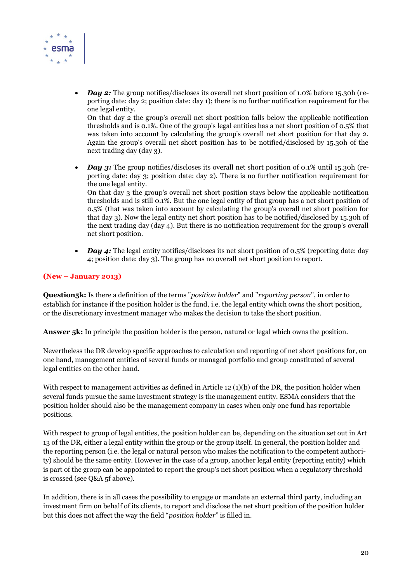

*Day 2:* The group notifies/discloses its overall net short position of 1.0% before 15.30h (reporting date: day 2; position date: day 1); there is no further notification requirement for the one legal entity. On that day 2 the group's overall net short position falls below the applicable notification

thresholds and is 0.1%. One of the group's legal entities has a net short position of 0.5% that was taken into account by calculating the group's overall net short position for that day 2. Again the group's overall net short position has to be notified/disclosed by 15.30h of the next trading day (day 3).

*Day 3:* The group notifies/discloses its overall net short position of 0.1% until 15.30h (reporting date: day 3; position date: day 2). There is no further notification requirement for the one legal entity.

On that day 3 the group's overall net short position stays below the applicable notification thresholds and is still 0.1%. But the one legal entity of that group has a net short position of 0.5% (that was taken into account by calculating the group's overall net short position for that day 3). Now the legal entity net short position has to be notified/disclosed by 15.30h of the next trading day (day 4). But there is no notification requirement for the group's overall net short position.

*Day 4:* The legal entity notifies/discloses its net short position of 0.5% (reporting date: day 4; position date: day 3). The group has no overall net short position to report.

#### **(New – January 2013)**

**Question5k:** Is there a definition of the terms "*position holder*" and "*reporting person*", in order to establish for instance if the position holder is the fund, i.e. the legal entity which owns the short position, or the discretionary investment manager who makes the decision to take the short position.

**Answer 5k:** In principle the position holder is the person, natural or legal which owns the position.

Nevertheless the DR develop specific approaches to calculation and reporting of net short positions for, on one hand, management entities of several funds or managed portfolio and group constituted of several legal entities on the other hand.

With respect to management activities as defined in Article 12 (1)(b) of the DR, the position holder when several funds pursue the same investment strategy is the management entity. ESMA considers that the position holder should also be the management company in cases when only one fund has reportable positions.

With respect to group of legal entities, the position holder can be, depending on the situation set out in Art 13 of the DR, either a legal entity within the group or the group itself. In general, the position holder and the reporting person (i.e. the legal or natural person who makes the notification to the competent authority) should be the same entity. However in the case of a group, another legal entity (reporting entity) which is part of the group can be appointed to report the group's net short position when a regulatory threshold is crossed (see Q&A 5f above).

In addition, there is in all cases the possibility to engage or mandate an external third party, including an investment firm on behalf of its clients, to report and disclose the net short position of the position holder but this does not affect the way the field "*position holder*" is filled in.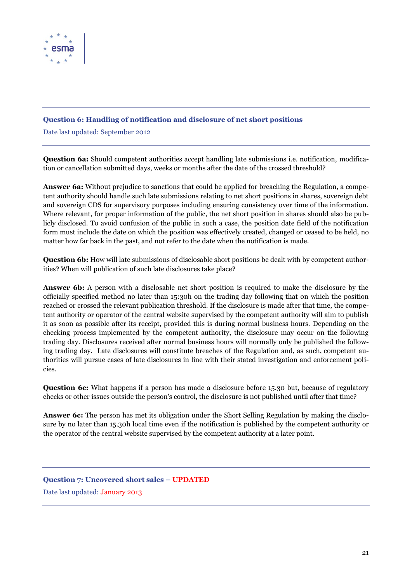

### <span id="page-20-0"></span>**Question 6: Handling of notification and disclosure of net short positions**

Date last updated: September 2012

**Question 6a:** Should competent authorities accept handling late submissions i.e. notification, modification or cancellation submitted days, weeks or months after the date of the crossed threshold?

**Answer 6a:** Without prejudice to sanctions that could be applied for breaching the Regulation, a competent authority should handle such late submissions relating to net short positions in shares, sovereign debt and sovereign CDS for supervisory purposes including ensuring consistency over time of the information. Where relevant, for proper information of the public, the net short position in shares should also be publicly disclosed. To avoid confusion of the public in such a case, the position date field of the notification form must include the date on which the position was effectively created, changed or ceased to be held, no matter how far back in the past, and not refer to the date when the notification is made.

**Question 6b:** How will late submissions of disclosable short positions be dealt with by competent authorities? When will publication of such late disclosures take place?

**Answer 6b:** A person with a disclosable net short position is required to make the disclosure by the officially specified method no later than 15:30h on the trading day following that on which the position reached or crossed the relevant publication threshold. If the disclosure is made after that time, the competent authority or operator of the central website supervised by the competent authority will aim to publish it as soon as possible after its receipt, provided this is during normal business hours. Depending on the checking process implemented by the competent authority, the disclosure may occur on the following trading day. Disclosures received after normal business hours will normally only be published the following trading day. Late disclosures will constitute breaches of the Regulation and, as such, competent authorities will pursue cases of late disclosures in line with their stated investigation and enforcement policies.

**Question 6c:** What happens if a person has made a disclosure before 15.30 but, because of regulatory checks or other issues outside the person's control, the disclosure is not published until after that time?

**Answer 6c:** The person has met its obligation under the Short Selling Regulation by making the disclosure by no later than 15.30h local time even if the notification is published by the competent authority or the operator of the central website supervised by the competent authority at a later point.

# <span id="page-20-1"></span>**Question 7: Uncovered short sales – UPDATED**

Date last updated: January 2013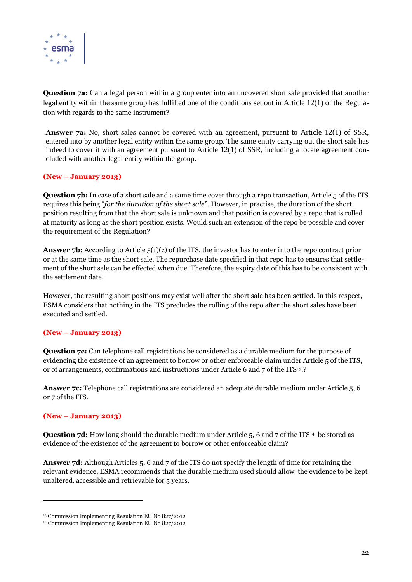

**Question 7a:** Can a legal person within a group enter into an uncovered short sale provided that another legal entity within the same group has fulfilled one of the conditions set out in Article 12(1) of the Regulation with regards to the same instrument?

**Answer 7a:** No, short sales cannot be covered with an agreement, pursuant to Article 12(1) of SSR, entered into by another legal entity within the same group. The same entity carrying out the short sale has indeed to cover it with an agreement pursuant to Article 12(1) of SSR, including a locate agreement concluded with another legal entity within the group.

#### **(New – January 2013)**

**Question 7b:** In case of a short sale and a same time cover through a repo transaction, Article 5 of the ITS requires this being "*for the duration of the short sale*". However, in practise, the duration of the short position resulting from that the short sale is unknown and that position is covered by a repo that is rolled at maturity as long as the short position exists. Would such an extension of the repo be possible and cover the requirement of the Regulation?

**Answer 7b:** According to Article 5(1)(c) of the ITS, the investor has to enter into the repo contract prior or at the same time as the short sale. The repurchase date specified in that repo has to ensures that settlement of the short sale can be effected when due. Therefore, the expiry date of this has to be consistent with the settlement date.

However, the resulting short positions may exist well after the short sale has been settled. In this respect, ESMA considers that nothing in the ITS precludes the rolling of the repo after the short sales have been executed and settled.

#### **(New – January 2013)**

**Question 7c:** Can telephone call registrations be considered as a durable medium for the purpose of evidencing the existence of an agreement to borrow or other enforceable claim under Article 5 of the ITS, or of arrangements, confirmations and instructions under Article 6 and 7 of the ITS13.?

**Answer 7c:** Telephone call registrations are considered an adequate durable medium under Article 5, 6 or 7 of the ITS.

#### **(New – January 2013)**

 $\overline{a}$ 

**Question 7d:** How long should the durable medium under Article 5, 6 and 7 of the ITS<sup>14</sup> be stored as evidence of the existence of the agreement to borrow or other enforceable claim?

**Answer 7d:** Although Articles 5, 6 and 7 of the ITS do not specify the length of time for retaining the relevant evidence, ESMA recommends that the durable medium used should allow the evidence to be kept unaltered, accessible and retrievable for 5 years.

<sup>13</sup> Commission Implementing Regulation EU No 827/2012

<sup>14</sup> Commission Implementing Regulation EU No 827/2012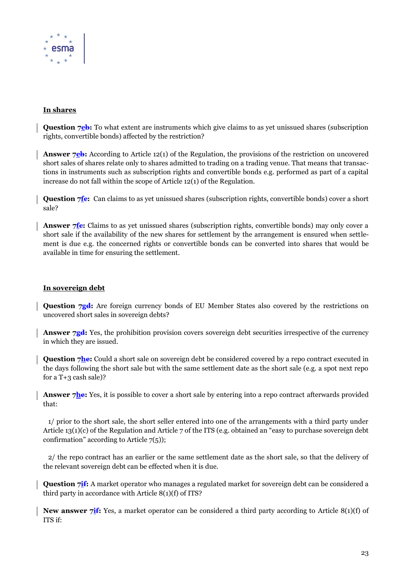

#### **In shares**

**Question 7eb:** To what extent are instruments which give claims to as yet unissued shares (subscription rights, convertible bonds) affected by the restriction?

**Answer 7eb:** According to Article 12(1) of the Regulation, the provisions of the restriction on uncovered short sales of shares relate only to shares admitted to trading on a trading venue. That means that transactions in instruments such as subscription rights and convertible bonds e.g. performed as part of a capital increase do not fall within the scope of Article 12(1) of the Regulation.

**Question 7***fe***:** Can claims to as yet unissued shares (subscription rights, convertible bonds) cover a short sale?

Answer 7<sup>fe:</sup> Claims to as yet unissued shares (subscription rights, convertible bonds) may only cover a short sale if the availability of the new shares for settlement by the arrangement is ensured when settlement is due e.g. the concerned rights or convertible bonds can be converted into shares that would be available in time for ensuring the settlement.

#### **In sovereign debt**

**Question 7gd:** Are foreign currency bonds of EU Member States also covered by the restrictions on uncovered short sales in sovereign debts?

Answer 7gd: Yes, the prohibition provision covers sovereign debt securities irrespective of the currency in which they are issued.

**Question 7he:** Could a short sale on sovereign debt be considered covered by a repo contract executed in the days following the short sale but with the same settlement date as the short sale (e.g. a spot next repo for a T+3 cash sale)?

**Answer 7he:** Yes, it is possible to cover a short sale by entering into a repo contract afterwards provided that:

 1/ prior to the short sale, the short seller entered into one of the arrangements with a third party under Article 13(1)(c) of the Regulation and Article 7 of the ITS (e.g. obtained an "easy to purchase sovereign debt confirmation" according to Article  $7(5)$ ;

 2/ the repo contract has an earlier or the same settlement date as the short sale, so that the delivery of the relevant sovereign debt can be effected when it is due.

**Question 7<sup>if</sup>:** A market operator who manages a regulated market for sovereign debt can be considered a third party in accordance with Article 8(1)(f) of ITS?

**New answer 7if:** Yes, a market operator can be considered a third party according to Article 8(1)(f) of ITS if: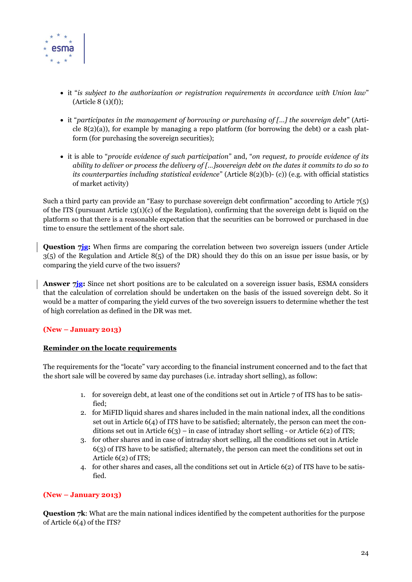

- it "*is subject to the authorization or registration requirements in accordance with Union law*"  $(\text{Article } 8 (1)(f));$
- it "*participates in the management of borrowing or purchasing of […] the sovereign debt*" (Article  $8(2)(a)$ ), for example by managing a repo platform (for borrowing the debt) or a cash platform (for purchasing the sovereign securities);
- it is able to "*provide evidence of such participation*" and, "*on request, to provide evidence of its ability to deliver or process the delivery of […]sovereign debt on the dates it commits to do so to its counterparties including statistical evidence*" (Article 8(2)(b)- (c)) (e.g. with official statistics of market activity)

Such a third party can provide an "Easy to purchase sovereign debt confirmation" according to Article  $7(5)$ of the ITS (pursuant Article 13(1)(c) of the Regulation), confirming that the sovereign debt is liquid on the platform so that there is a reasonable expectation that the securities can be borrowed or purchased in due time to ensure the settlement of the short sale.

**Question 7jg:** When firms are comparing the correlation between two sovereign issuers (under Article 3(5) of the Regulation and Article 8(5) of the DR) should they do this on an issue per issue basis, or by comparing the yield curve of the two issuers?

**Answer 7jg:** Since net short positions are to be calculated on a sovereign issuer basis, ESMA considers that the calculation of correlation should be undertaken on the basis of the issued sovereign debt. So it would be a matter of comparing the yield curves of the two sovereign issuers to determine whether the test of high correlation as defined in the DR was met.

#### **(New – January 2013)**

#### **Reminder on the locate requirements**

The requirements for the "locate" vary according to the financial instrument concerned and to the fact that the short sale will be covered by same day purchases (i.e. intraday short selling), as follow:

- 1. for sovereign debt, at least one of the conditions set out in Article 7 of ITS has to be satisfied;
- 2. for MiFID liquid shares and shares included in the main national index, all the conditions set out in Article 6(4) of ITS have to be satisfied; alternately, the person can meet the conditions set out in Article  $6(3)$  – in case of intraday short selling - or Article  $6(2)$  of ITS;
- 3. for other shares and in case of intraday short selling, all the conditions set out in Article 6(3) of ITS have to be satisfied; alternately, the person can meet the conditions set out in Article 6(2) of ITS;
- 4. for other shares and cases, all the conditions set out in Article 6(2) of ITS have to be satisfied.

#### **(New – January 2013)**

**Question 7k:** What are the main national indices identified by the competent authorities for the purpose of Article 6(4) of the ITS?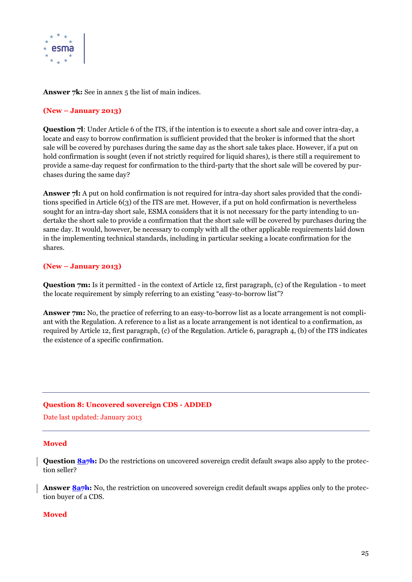

Answer 7k: See in annex 5 the list of main indices.

#### **(New – January 2013)**

**Question 7l**: Under Article 6 of the ITS, if the intention is to execute a short sale and cover intra-day, a locate and easy to borrow confirmation is sufficient provided that the broker is informed that the short sale will be covered by purchases during the same day as the short sale takes place. However, if a put on hold confirmation is sought (even if not strictly required for liquid shares), is there still a requirement to provide a same-day request for confirmation to the third-party that the short sale will be covered by purchases during the same day?

**Answer 7l:** A put on hold confirmation is not required for intra-day short sales provided that the conditions specified in Article 6(3) of the ITS are met. However, if a put on hold confirmation is nevertheless sought for an intra-day short sale, ESMA considers that it is not necessary for the party intending to undertake the short sale to provide a confirmation that the short sale will be covered by purchases during the same day. It would, however, be necessary to comply with all the other applicable requirements laid down in the implementing technical standards, including in particular seeking a locate confirmation for the shares.

#### **(New – January 2013)**

**Question 7m:** Is it permitted - in the context of Article 12, first paragraph, (c) of the Regulation - to meet the locate requirement by simply referring to an existing "easy-to-borrow list"?

Answer 7m: No, the practice of referring to an easy-to-borrow list as a locate arrangement is not compliant with the Regulation. A reference to a list as a locate arrangement is not identical to a confirmation, as required by Article 12, first paragraph, (c) of the Regulation. Article 6, paragraph 4, (b) of the ITS indicates the existence of a specific confirmation.

#### <span id="page-24-0"></span>**Question 8: Uncovered sovereign CDS - ADDED**

Date last updated: January 2013

#### **Moved**

**Question 8a<del>7h</del>:** Do the restrictions on uncovered sovereign credit default swaps also apply to the protection seller?

Answer 8a<sup>7</sup>h: No, the restriction on uncovered sovereign credit default swaps applies only to the protection buyer of a CDS.

#### **Moved**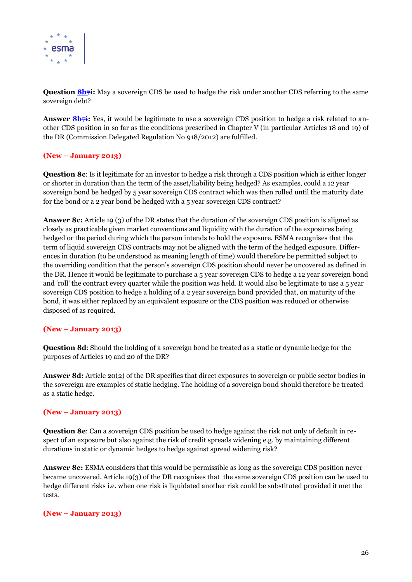

**Question 8b7i:** May a sovereign CDS be used to hedge the risk under another CDS referring to the same sovereign debt?

**Answer 8b7i:** Yes, it would be legitimate to use a sovereign CDS position to hedge a risk related to another CDS position in so far as the conditions prescribed in Chapter V (in particular Articles 18 and 19) of the DR (Commission Delegated Regulation No 918/2012) are fulfilled.

#### **(New – January 2013)**

**Question 8c**: Is it legitimate for an investor to hedge a risk through a CDS position which is either longer or shorter in duration than the term of the asset/liability being hedged? As examples, could a 12 year sovereign bond be hedged by 5 year sovereign CDS contract which was then rolled until the maturity date for the bond or a 2 year bond be hedged with a 5 year sovereign CDS contract?

**Answer 8c:** Article 19 (3) of the DR states that the duration of the sovereign CDS position is aligned as closely as practicable given market conventions and liquidity with the duration of the exposures being hedged or the period during which the person intends to hold the exposure. ESMA recognises that the term of liquid sovereign CDS contracts may not be aligned with the term of the hedged exposure. Differences in duration (to be understood as meaning length of time) would therefore be permitted subject to the overriding condition that the person's sovereign CDS position should never be uncovered as defined in the DR. Hence it would be legitimate to purchase a 5 year sovereign CDS to hedge a 12 year sovereign bond and 'roll' the contract every quarter while the position was held. It would also be legitimate to use a 5 year sovereign CDS position to hedge a holding of a 2 year sovereign bond provided that, on maturity of the bond, it was either replaced by an equivalent exposure or the CDS position was reduced or otherwise disposed of as required.

#### **(New – January 2013)**

**Question 8d**: Should the holding of a sovereign bond be treated as a static or dynamic hedge for the purposes of Articles 19 and 20 of the DR?

**Answer 8d:** Article 20(2) of the DR specifies that direct exposures to sovereign or public sector bodies in the sovereign are examples of static hedging. The holding of a sovereign bond should therefore be treated as a static hedge.

#### **(New – January 2013)**

**Question 8e**: Can a sovereign CDS position be used to hedge against the risk not only of default in respect of an exposure but also against the risk of credit spreads widening e.g. by maintaining different durations in static or dynamic hedges to hedge against spread widening risk?

**Answer 8e:** ESMA considers that this would be permissible as long as the sovereign CDS position never became uncovered. Article 19(3) of the DR recognises that the same sovereign CDS position can be used to hedge different risks i.e. when one risk is liquidated another risk could be substituted provided it met the tests.

#### **(New – January 2013)**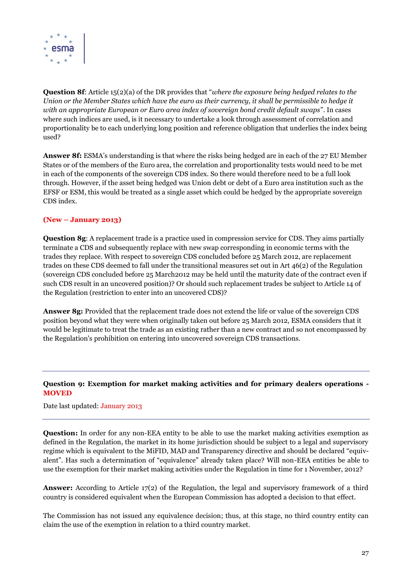

**Question 8f**: Article 15(2)(a) of the DR provides that "*where the exposure being hedged relates to the Union or the Member States which have the euro as their currency, it shall be permissible to hedge it with an appropriate European or Euro area index of sovereign bond credit default swaps*". In cases where such indices are used, is it necessary to undertake a look through assessment of correlation and proportionality be to each underlying long position and reference obligation that underlies the index being used?

**Answer 8f:** ESMA's understanding is that where the risks being hedged are in each of the 27 EU Member States or of the members of the Euro area, the correlation and proportionality tests would need to be met in each of the components of the sovereign CDS index. So there would therefore need to be a full look through. However, if the asset being hedged was Union debt or debt of a Euro area institution such as the EFSF or ESM, this would be treated as a single asset which could be hedged by the appropriate sovereign CDS index.

#### **(New – January 2013)**

**Question 8g**: A replacement trade is a practice used in compression service for CDS. They aims partially terminate a CDS and subsequently replace with new swap corresponding in economic terms with the trades they replace. With respect to sovereign CDS concluded before 25 March 2012, are replacement trades on these CDS deemed to fall under the transitional measures set out in Art 46(2) of the Regulation (sovereign CDS concluded before 25 March2012 may be held until the maturity date of the contract even if such CDS result in an uncovered position)? Or should such replacement trades be subject to Article 14 of the Regulation (restriction to enter into an uncovered CDS)?

**Answer 8g:** Provided that the replacement trade does not extend the life or value of the sovereign CDS position beyond what they were when originally taken out before 25 March 2012, ESMA considers that it would be legitimate to treat the trade as an existing rather than a new contract and so not encompassed by the Regulation's prohibition on entering into uncovered sovereign CDS transactions.

#### <span id="page-26-0"></span>**Question 9: Exemption for market making activities and for primary dealers operations - MOVED**

#### Date last updated: January 2013

**Question:** In order for any non-EEA entity to be able to use the market making activities exemption as defined in the Regulation, the market in its home jurisdiction should be subject to a legal and supervisory regime which is equivalent to the MiFID, MAD and Transparency directive and should be declared "equivalent". Has such a determination of "equivalence" already taken place? Will non-EEA entities be able to use the exemption for their market making activities under the Regulation in time for 1 November, 2012?

**Answer:** According to Article 17(2) of the Regulation, the legal and supervisory framework of a third country is considered equivalent when the European Commission has adopted a decision to that effect.

The Commission has not issued any equivalence decision; thus, at this stage, no third country entity can claim the use of the exemption in relation to a third country market.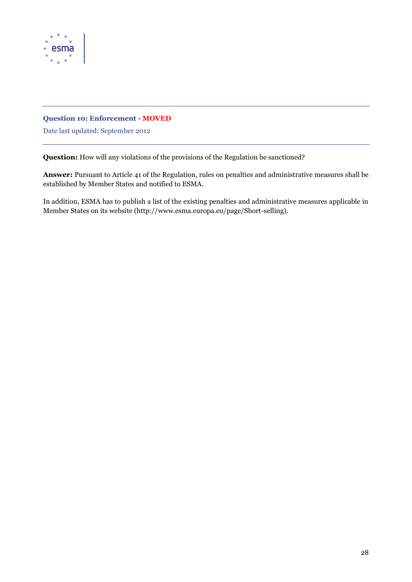

#### <span id="page-27-0"></span>**Question 10: Enforcement - MOVED**

Date last updated: September 2012

**Question:** How will any violations of the provisions of the Regulation be sanctioned?

**Answer:** Pursuant to Article 41 of the Regulation, rules on penalties and administrative measures shall be established by Member States and notified to ESMA.

In addition, ESMA has to publish a list of the existing penalties and administrative measures applicable in Member States on its website (http://www.esma.europa.eu/page/Short-selling).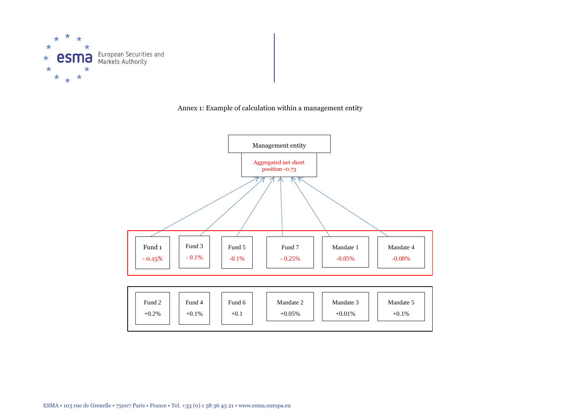

Annex 1: Example of calculation within a management entity



| Fund 2<br>$+0.2%$ | Fund 4<br>$+0.1\%$ | Fund 6<br>$+0.1$ | Mandate 2<br>$+0.05%$ | Mandate 3<br>$+0.01%$ | Mandate 5<br>$+0.1%$ |  |
|-------------------|--------------------|------------------|-----------------------|-----------------------|----------------------|--|
|                   |                    |                  |                       |                       |                      |  |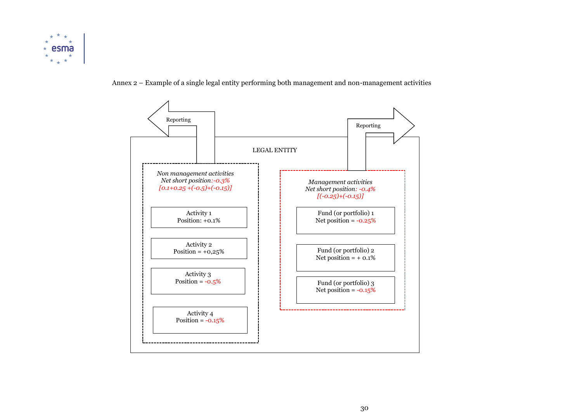

#### Annex 2 – Example of a single legal entity performing both management and non-management activities

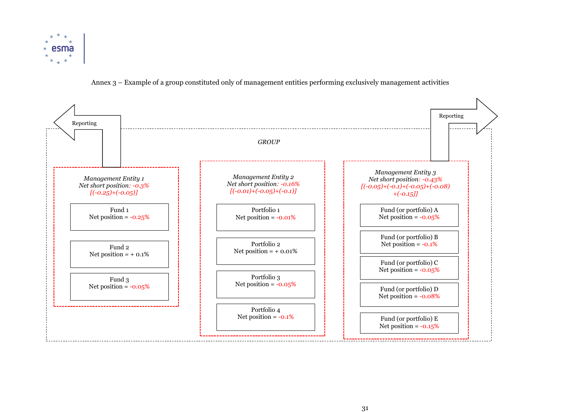

Annex 3 – Example of a group constituted only of management entities performing exclusively management activities

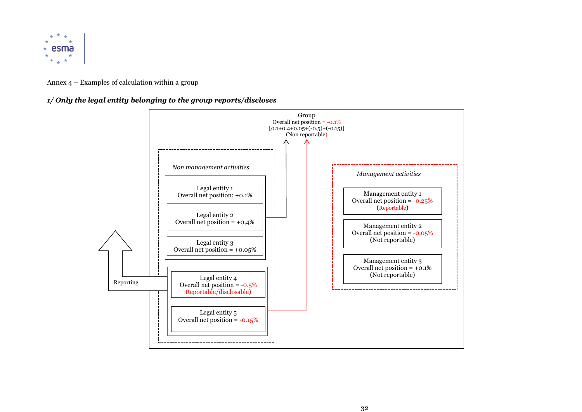

#### Annex 4 – Examples of calculation within a group

#### *1/ Only the legal entity belonging to the group reports/discloses*

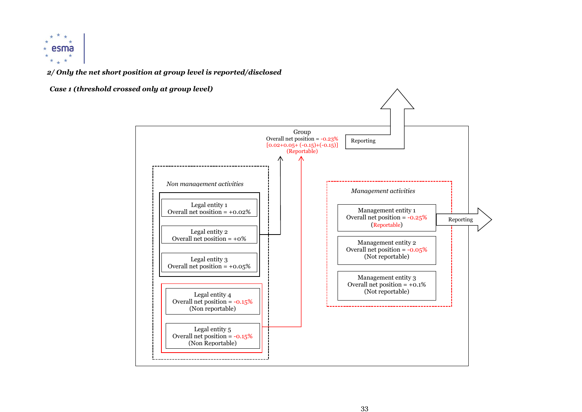

*2/ Only the net short position at group level is reported/disclosed* 

*Case 1 (threshold crossed only at group level)*

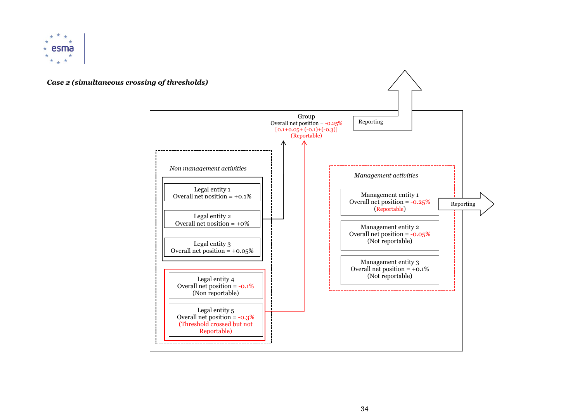



#### 34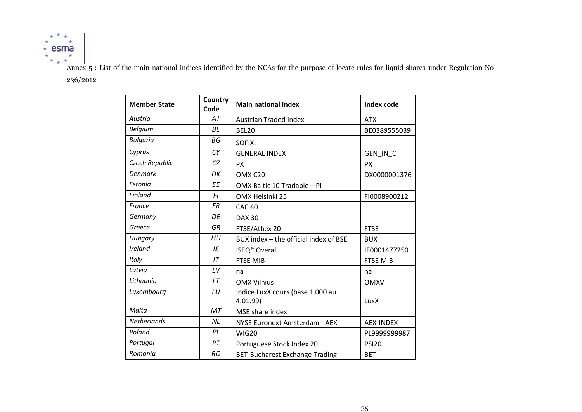

Annex 5 : List of the main national indices identified by the NCAs for the purpose of locate rules for liquid shares under Regulation No 236/2012

| Country<br><b>Member State</b><br>Code |           | <b>Main national index</b>            | Index code       |
|----------------------------------------|-----------|---------------------------------------|------------------|
| Austria                                | AT        | <b>Austrian Traded Index</b>          | <b>ATX</b>       |
| <b>Belgium</b>                         | <b>BE</b> | <b>BEL20</b>                          | BE0389555039     |
| <b>Bulgaria</b>                        | <b>BG</b> | SOFIX.                                |                  |
| Cyprus                                 | CY        | <b>GENERAL INDEX</b>                  | GEN IN C         |
| Czech Republic                         | CZ        | <b>PX</b>                             | <b>PX</b>        |
| <b>Denmark</b>                         | DK        | OMX C20                               | DX0000001376     |
| Estonia                                | <b>EE</b> | OMX Baltic 10 Tradable - PI           |                  |
| <b>Finland</b>                         | FI        | OMX Helsinki 25                       | FI0008900212     |
| France                                 | <b>FR</b> | <b>CAC 40</b>                         |                  |
| Germany                                | DE        | <b>DAX 30</b>                         |                  |
| Greece                                 | GR        | FTSE/Athex 20                         | <b>FTSE</b>      |
| Hungary                                | HU        | BUX index - the official index of BSE | <b>BUX</b>       |
| Ireland                                | ΙE        | <b>ISEQ<sup>®</sup></b> Overall       | IE0001477250     |
| Italy                                  | IT        | <b>FTSE MIB</b>                       | <b>FTSE MIB</b>  |
| Latvia                                 | LV        | na                                    | na               |
| Lithuania                              | LT        | <b>OMX Vilnius</b>                    | <b>OMXV</b>      |
| Luxembourg                             | LU        | Indice LuxX cours (base 1.000 au      |                  |
|                                        |           | 4.01.99                               | LuxX             |
| Malta                                  | <b>MT</b> | MSE share index                       |                  |
| Netherlands                            | NL        | NYSE Euronext Amsterdam - AEX         | <b>AEX-INDEX</b> |
| Poland                                 | PL        | <b>WIG20</b>                          | PL9999999987     |
| Portugal                               | PT        | Portuguese Stock Index 20             | <b>PSI20</b>     |
| Romania                                | <b>RO</b> | <b>BET-Bucharest Exchange Trading</b> | <b>BET</b>       |